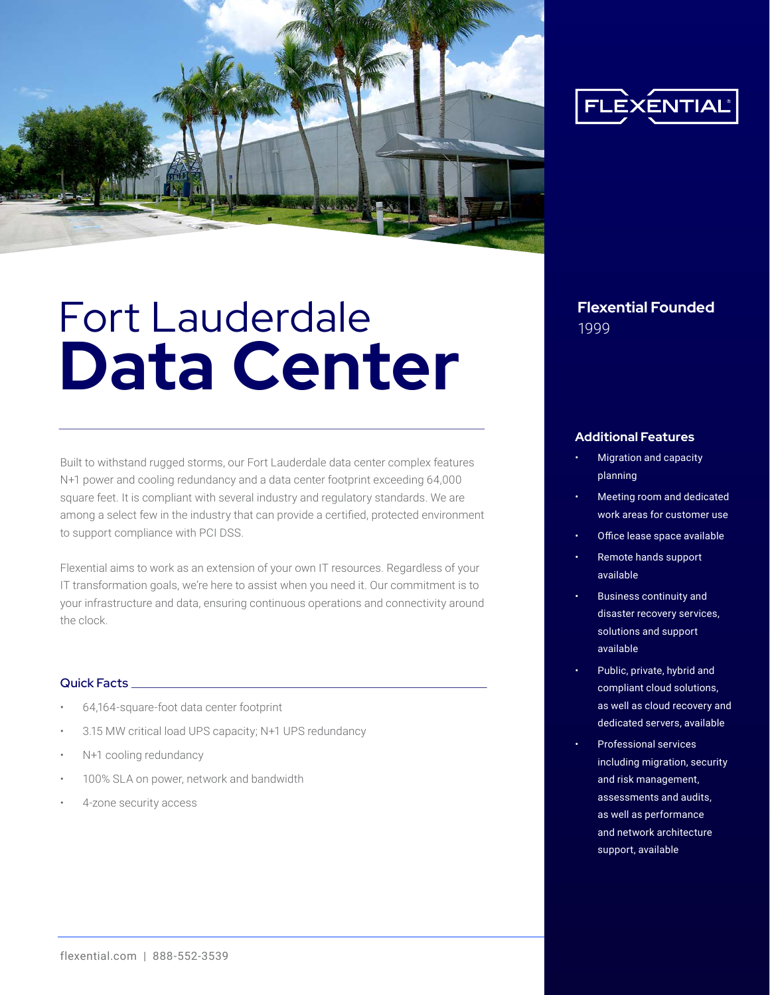

# Fort Lauderdale **Flexential Founded Data Center**

Built to withstand rugged storms, our Fort Lauderdale data center complex features N+1 power and cooling redundancy and a data center footprint exceeding 64,000 square feet. It is compliant with several industry and regulatory standards. We are among a select few in the industry that can provide a certified, protected environment to support compliance with PCI DSS.

Flexential aims to work as an extension of your own IT resources. Regardless of your IT transformation goals, we're here to assist when you need it. Our commitment is to your infrastructure and data, ensuring continuous operations and connectivity around the clock.

#### Quick Facts

- 64,164-square-foot data center footprint
- 3.15 MW critical load UPS capacity; N+1 UPS redundancy
- N+1 cooling redundancy
- 100% SLA on power, network and bandwidth
- 4-zone security access



#### **Additional Features**

- Migration and capacity planning
- Meeting room and dedicated work areas for customer use
- Office lease space available
- Remote hands support available
- Business continuity and disaster recovery services, solutions and support available
- Public, private, hybrid and compliant cloud solutions, as well as cloud recovery and dedicated servers, available
- Professional services including migration, security and risk management, assessments and audits, as well as performance and network architecture support, available